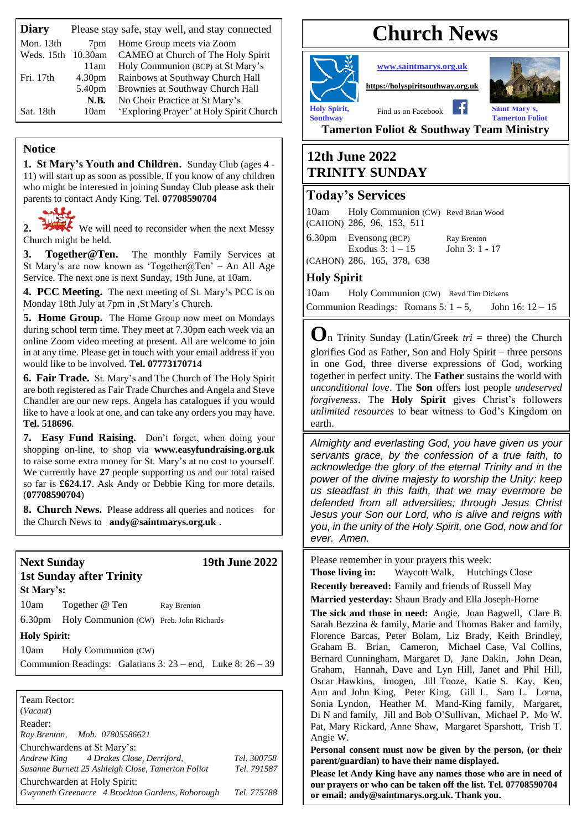| <b>Diary</b> |                    | Please stay safe, stay well, and stay connected |
|--------------|--------------------|-------------------------------------------------|
| Mon. 13th    | 7 <sub>pm</sub>    | Home Group meets via Zoom                       |
| Weds. 15th   | 10.30am            | CAMEO at Church of The Holy Spirit              |
|              | 11am               | Holy Communion (BCP) at St Mary's               |
| Fri. 17th    | 4.30 <sub>pm</sub> | Rainbows at Southway Church Hall                |
|              | 5.40pm             | Brownies at Southway Church Hall                |
|              | N.B.               | No Choir Practice at St Mary's                  |
| Sat. 18th    | 10am               | 'Exploring Prayer' at Holy Spirit Church        |

### **Notice**

**1. St Mary's Youth and Children.** Sunday Club (ages 4 - 11) will start up as soon as possible. If you know of any children who might be interested in joining Sunday Club please ask their parents to contact Andy King. Tel. **07708590704**



2. We will need to reconsider when the next Messy Church might be held.

**3. Together@Ten.** The monthly Family Services at St Mary's are now known as 'Together@Ten' – An All Age Service. The next one is next Sunday, 19th June, at 10am.

**4. PCC Meeting.** The next meeting of St. Mary's PCC is on Monday 18th July at 7pm in ,St Mary's Church.

**5. Home Group.** The Home Group now meet on Mondays during school term time. They meet at 7.30pm each week via an online Zoom video meeting at present. All are welcome to join in at any time. Please get in touch with your email address if you would like to be involved. **Tel. 07773170714**

**6. Fair Trade.** St. Mary's and The Church of The Holy Spirit are both registered as Fair Trade Churches and Angela and Steve Chandler are our new reps. Angela has catalogues if you would like to have a look at one, and can take any orders you may have. **Tel. 518696**.

**7. Easy Fund Raising.** Don't forget, when doing your shopping on-line, to shop via **[www.easyfundraising.org.uk](http://www.easyfundraising.org.uk/)** to raise some extra money for St. Mary's at no cost to yourself. We currently have **27** people supporting us and our total raised so far is **£624.17**. Ask Andy or Debbie King for more details. (**07708590704**)

**8. Church News.** Please address all queries and notices for the Church News to **[andy@saintmarys.org.uk](mailto:andy@saintmarys.org.uk)** .

#### **Next Sunday 19th June 2022 1st Sunday after Trinity**

**St Mary's:**  10am Together @ Ten Ray Brenton

6.30pm Holy Communion (CW) Preb. John Richards

#### **Holy Spirit:**

10am Holy Communion (CW)

Communion Readings: Galatians 3: 23 – end, Luke 8: 26 – 39

| Team Rector:<br>(Vacant)                           |             |
|----------------------------------------------------|-------------|
| Reader:                                            |             |
| Ray Brenton, Mob. 07805586621                      |             |
| Churchwardens at St Mary's:                        |             |
| Andrew King 4 Drakes Close, Derriford,             | Tel. 300758 |
| Susanne Burnett 25 Ashleigh Close, Tamerton Foliot | Tel. 791587 |
| Churchwarden at Holy Spirit:                       |             |
| Gwynneth Greenacre 4 Brockton Gardens, Roborough   | Tel. 775788 |

# **Church News**



**[www.saintmarys.org.uk](http://www.saintmarys.org.uk/)**

**[https://holyspiritsouthway.org.uk](https://holyspiritsouthway.org.uk/)**



**Southway** Tamerton Foliot

**Tamerton Foliot & Southway Team Ministry**

# **12th June 2022 TRINITY SUNDAY**

# **Today's Services**

10am Holy Communion (CW) Revd Brian Wood (CAHON) 286, 96, 153, 511

6.30pm Evensong (BCP) Ray Brenton Exodus  $3: 1 - 15$  John  $3: 1 - 17$ (CAHON) 286, 165, 378, 638

# **Holy Spirit**

10am Holy Communion (CW) Revd Tim Dickens Communion Readings: Romans  $5: 1 - 5$ , John 16:  $12 - 15$ 

**O**n Trinity Sunday (Latin/Greek *tri* = three) the Church glorifies God as Father, Son and Holy Spirit – three persons in one God, three diverse expressions of God, working together in perfect unity. The **Father** sustains the world with *unconditional love*. The **Son** offers lost people *undeserved forgiveness*. The **Holy Spirit** gives Christ's followers *unlimited resources* to bear witness to God's Kingdom on earth.

*Almighty and everlasting God, you have given us your servants grace, by the confession of a true faith, to acknowledge the glory of the eternal Trinity and in the power of the divine majesty to worship the Unity: keep us steadfast in this faith, that we may evermore be defended from all adversities; through Jesus Christ Jesus your Son our Lord, who is alive and reigns with you, in the unity of the Holy Spirit, one God, now and for ever. Amen.*

Please remember in your prayers this week:

**Those living in:** Waycott Walk, Hutchings Close **Recently bereaved:** Family and friends of Russell May

**Married yesterday:** Shaun Brady and Ella Joseph-Horne

**The sick and those in need:** Angie, Joan Bagwell, Clare B. Sarah Bezzina & family, Marie and Thomas Baker and family, Florence Barcas, Peter Bolam, Liz Brady, Keith Brindley, Graham B. Brian, Cameron, Michael Case, Val Collins, Bernard Cunningham, Margaret D, Jane Dakin, John Dean, Graham, Hannah, Dave and Lyn Hill, Janet and Phil Hill, Oscar Hawkins, Imogen, Jill Tooze, Katie S. Kay, Ken, Ann and John King, Peter King, Gill L. Sam L. Lorna, Sonia Lyndon, Heather M. Mand-King family, Margaret, Di N and family, Jill and Bob O'Sullivan, Michael P. Mo W. Pat, Mary Rickard, Anne Shaw, Margaret Sparshott, Trish T. Angie W.

**Personal consent must now be given by the person, (or their parent/guardian) to have their name displayed.**

**Please let Andy King have any names those who are in need of our prayers or who can be taken off the list. Tel. 07708590704 or email: andy@saintmarys.org.uk. Thank you.**